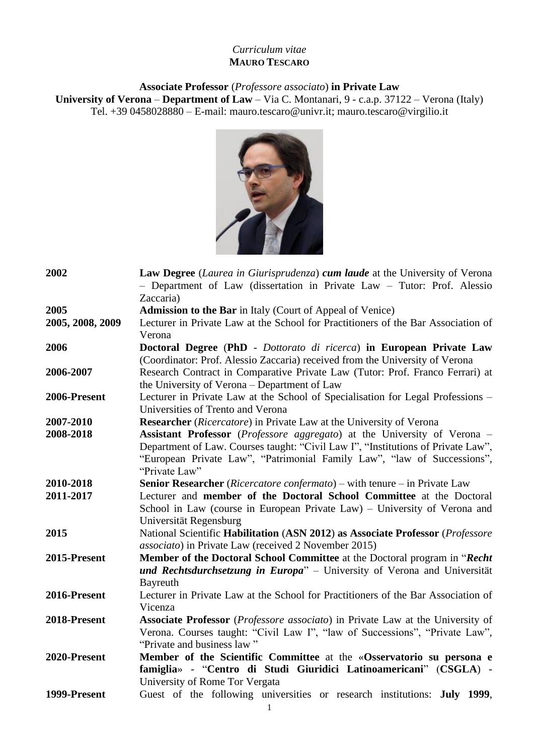# *Curriculum vitae* **MAURO TESCARO**

**Associate Professor** (*Professore associato*) **in Private Law University of Verona** – **Department of Law** – Via C. Montanari, 9 - c.a.p. 37122 – Verona (Italy) Tel. +39 0458028880 – E-mail: [mauro.tescaro@univr.it;](mailto:mauro.tescaro@univr.it) mauro.tescaro@virgilio.it



| 2002             | <b>Law Degree</b> (Laurea in Giurisprudenza) cum laude at the University of Verona<br>- Department of Law (dissertation in Private Law - Tutor: Prof. Alessio<br>Zaccaria) |
|------------------|----------------------------------------------------------------------------------------------------------------------------------------------------------------------------|
| 2005             | <b>Admission to the Bar</b> in Italy (Court of Appeal of Venice)                                                                                                           |
| 2005, 2008, 2009 | Lecturer in Private Law at the School for Practitioners of the Bar Association of                                                                                          |
|                  | Verona                                                                                                                                                                     |
| 2006             | Doctoral Degree (PhD - Dottorato di ricerca) in European Private Law                                                                                                       |
|                  | (Coordinator: Prof. Alessio Zaccaria) received from the University of Verona                                                                                               |
| 2006-2007        | Research Contract in Comparative Private Law (Tutor: Prof. Franco Ferrari) at                                                                                              |
|                  | the University of Verona - Department of Law                                                                                                                               |
| 2006-Present     | Lecturer in Private Law at the School of Specialisation for Legal Professions -                                                                                            |
|                  | Universities of Trento and Verona                                                                                                                                          |
| 2007-2010        | <b>Researcher</b> (Ricercatore) in Private Law at the University of Verona                                                                                                 |
| 2008-2018        | <b>Assistant Professor</b> ( <i>Professore aggregato</i> ) at the University of Verona –                                                                                   |
|                  | Department of Law. Courses taught: "Civil Law I", "Institutions of Private Law",                                                                                           |
|                  | "European Private Law", "Patrimonial Family Law", "law of Successions",                                                                                                    |
|                  | "Private Law"                                                                                                                                                              |
| 2010-2018        | Senior Researcher (Ricercatore confermato) – with tenure – in Private Law                                                                                                  |
| 2011-2017        | Lecturer and member of the Doctoral School Committee at the Doctoral                                                                                                       |
|                  | School in Law (course in European Private Law) – University of Verona and                                                                                                  |
|                  | Universität Regensburg                                                                                                                                                     |
| 2015             | National Scientific Habilitation (ASN 2012) as Associate Professor (Professore                                                                                             |
|                  | <i>associato</i> ) in Private Law (received 2 November 2015)                                                                                                               |
| 2015-Present     | Member of the Doctoral School Committee at the Doctoral program in "Recht"                                                                                                 |
|                  | und Rechtsdurchsetzung in Europa" - University of Verona and Universität                                                                                                   |
|                  | Bayreuth                                                                                                                                                                   |
| 2016-Present     | Lecturer in Private Law at the School for Practitioners of the Bar Association of                                                                                          |
|                  | Vicenza                                                                                                                                                                    |
| 2018-Present     | Associate Professor (Professore associato) in Private Law at the University of                                                                                             |
|                  | Verona. Courses taught: "Civil Law I", "law of Successions", "Private Law",                                                                                                |
|                  | "Private and business law"                                                                                                                                                 |
| 2020-Present     | Member of the Scientific Committee at the «Osservatorio su persona e                                                                                                       |
|                  | famiglia» - "Centro di Studi Giuridici Latinoamericani" (CSGLA) -                                                                                                          |
|                  | University of Rome Tor Vergata                                                                                                                                             |
| 1999-Present     | Guest of the following universities or research institutions: July 1999,                                                                                                   |
|                  |                                                                                                                                                                            |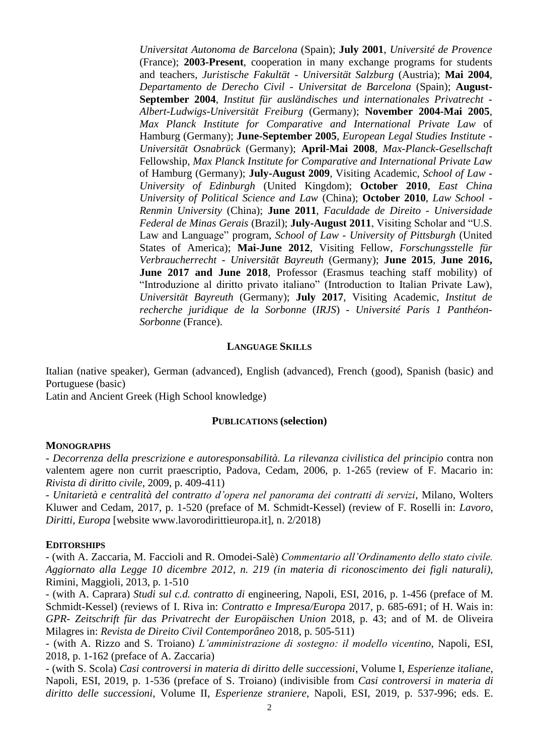*Universitat Autonoma de Barcelona* (Spain); **July 2001**, *Université de Provence*  (France); **2003-Present**, cooperation in many exchange programs for students and teachers, *Juristische Fakultät* - *Universität Salzburg* (Austria); **Mai 2004**, *Departamento de Derecho Civil* - *Universitat de Barcelona* (Spain); **August-September 2004**, *Institut für ausländisches und internationales Privatrecht* - *Albert-Ludwigs-Universität Freiburg* (Germany); **November 2004-Mai 2005**, *Max Planck Institute for Comparative and International Private Law* of Hamburg (Germany); **June-September 2005**, *European Legal Studies Institute* - *Universität Osnabrück* (Germany); **April-Mai 2008**, *Max-Planck-Gesellschaft*  Fellowship, *Max Planck Institute for Comparative and International Private Law*  of Hamburg (Germany); **July-August 2009**, Visiting Academic, *School of Law* - *University of Edinburgh* (United Kingdom); **October 2010**, *East China University of Political Science and Law* (China); **October 2010**, *Law School* - *Renmin University* (China); **June 2011**, *Faculdade de Direito* - *Universidade Federal de Minas Gerais* (Brazil); **July-August 2011**, Visiting Scholar and "U.S. Law and Language" program, *School of Law* - *University of Pittsburgh* (United States of America); **Mai-June 2012**, Visiting Fellow, *Forschungsstelle für Verbraucherrecht* - *Universität Bayreuth* (Germany); **June 2015**, **June 2016, June 2017 and June 2018**, Professor (Erasmus teaching staff mobility) of "Introduzione al diritto privato italiano" (Introduction to Italian Private Law), *Universität Bayreuth* (Germany); **July 2017**, Visiting Academic, *Institut de recherche juridique de la Sorbonne* (*IRJS*) - *Université Paris 1 Panthéon-Sorbonne* (France).

## **LANGUAGE SKILLS**

Italian (native speaker), German (advanced), English (advanced), French (good), Spanish (basic) and Portuguese (basic)

Latin and Ancient Greek (High School knowledge)

## **PUBLICATIONS (selection)**

#### **MONOGRAPHS**

- *Decorrenza della prescrizione e autoresponsabilità. La rilevanza civilistica del principio* contra non valentem agere non currit praescriptio, Padova, Cedam, 2006, p. 1-265 (review of F. Macario in: *Rivista di diritto civile*, 2009, p. 409-411)

- *Unitarietà e centralità del contratto d'opera nel panorama dei contratti di servizi*, Milano, Wolters Kluwer and Cedam, 2017, p. 1-520 (preface of M. Schmidt-Kessel) (review of F. Roselli in: *Lavoro, Diritti, Europa* [website www.lavorodirittieuropa.it], n. 2/2018)

#### **EDITORSHIPS**

- (with A. Zaccaria, M. Faccioli and R. Omodei-Salè) *Commentario all'Ordinamento dello stato civile. Aggiornato alla Legge 10 dicembre 2012, n. 219 (in materia di riconoscimento dei figli naturali)*, Rimini, Maggioli, 2013, p. 1-510

- (with A. Caprara) *Studi sul c.d. contratto di* engineering, Napoli, ESI, 2016, p. 1-456 (preface of M. Schmidt-Kessel) (reviews of I. Riva in: *Contratto e Impresa/Europa* 2017, p. 685-691; of H. Wais in: *GPR- Zeitschrift für das Privatrecht der Europäischen Union* 2018, p. 43; and of M. de Oliveira Milagres in: *Revista de Direito Civil Contemporâneo* 2018, p. 505-511)

- (with A. Rizzo and S. Troiano) *L'amministrazione di sostegno: il modello vicentino*, Napoli, ESI, 2018, p. 1-162 (preface of A. Zaccaria)

- (with S. Scola) *Casi controversi in materia di diritto delle successioni*, Volume I, *Esperienze italiane*, Napoli, ESI, 2019, p. 1-536 (preface of S. Troiano) (indivisible from *Casi controversi in materia di diritto delle successioni*, Volume II, *Esperienze straniere*, Napoli, ESI, 2019, p. 537-996; eds. E.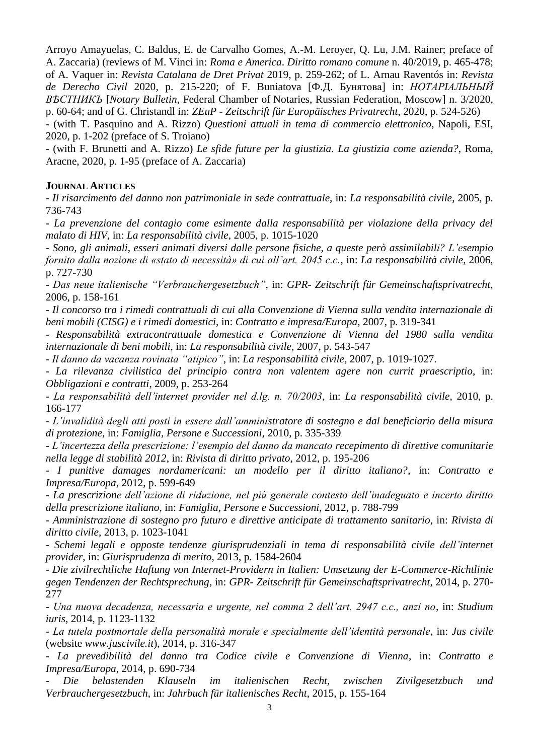Arroyo Amayuelas, C. Baldus, E. de Carvalho Gomes, A.-M. Leroyer, Q. Lu, J.M. Rainer; preface of A. Zaccaria) (reviews of M. Vinci in: *Roma e America*. *Diritto romano comune* n. 40/2019, p. 465-478; of A. Vaquer in: *Revista Catalana de Dret Privat* 2019, p. 259-262; of L. Arnau Raventós in: *Revista de Derecho Civil* 2020, p. 215-220; of F. Buniatova [Ф.Д. Бунятова] in: *НОТАРIАЛЬНЫЙ ВѢСТНИКЪ* [*Notary Bulletin*, Federal Chamber of Notaries, Russian Federation, Moscow] n. 3/2020, p. 60-64; and of G. Christandl in: *ZEuP - Zeitschrift für Europäisches Privatrecht*, 2020, p. 524-526)

- (with T. Pasquino and A. Rizzo) *Questioni attuali in tema di commercio elettronico*, Napoli, ESI, 2020, p. 1-202 (preface of S. Troiano)

- (with F. Brunetti and A. Rizzo) *Le sfide future per la giustizia. La giustizia come azienda?*, Roma, Aracne, 2020, p. 1-95 (preface of A. Zaccaria)

# **JOURNAL ARTICLES**

- *Il risarcimento del danno non patrimoniale in sede contrattuale*, in: *La responsabilità civile*, 2005, p. 736-743

- *La prevenzione del contagio come esimente dalla responsabilità per violazione della privacy del malato di HIV*, in: *La responsabilità civile*, 2005, p. 1015-1020

- *Sono, gli animali, esseri animati diversi dalle persone fisiche, a queste però assimilabili? L'esempio fornito dalla nozione di «stato di necessità» di cui all'art. 2045 c.c.*, in: *La responsabilità civile*, 2006, p. 727-730

- *Das neue italienische "Verbrauchergesetzbuch"*, in: *GPR- Zeitschrift für Gemeinschaftsprivatrecht*, 2006, p. 158-161

- *Il concorso tra i rimedi contrattuali di cui alla Convenzione di Vienna sulla vendita internazionale di beni mobili (CISG) e i rimedi domestici*, in: *Contratto e impresa/Europa*, 2007, p. 319-341

- *Responsabilità extracontrattuale domestica e Convenzione di Vienna del 1980 sulla vendita internazionale di beni mobili*, in: *La responsabilità civile*, 2007, p. 543-547

- *Il danno da vacanza rovinata "atipico"*, in: *La responsabilità civile*, 2007, p. 1019-1027.

- *La rilevanza civilistica del principio contra non valentem agere non currit praescriptio*, in: *Obbligazioni e contratti*, 2009, p. 253-264

- *La responsabilità dell'internet provider nel d.lg. n. 70/2003*, in: *La responsabilità civile*, 2010, p. 166-177

- *L'invalidità degli atti posti in essere dall'amministratore di sostegno e dal beneficiario della misura di protezione*, in: *Famiglia, Persone e Successioni*, 2010, p. 335-339

- *L'incertezza della prescrizione: l'esempio del danno da mancato recepimento di direttive comunitarie nella legge di stabilità 2012*, in: *Rivista di diritto privato*, 2012, p. 195-206

- *I punitive damages nordamericani: un modello per il diritto italiano?*, in: *Contratto e Impresa/Europa*, 2012, p. 599-649

- *La prescrizione dell'azione di riduzione, nel più generale contesto dell'inadeguato e incerto diritto della prescrizione italiano*, in: *Famiglia, Persone e Successioni*, 2012, p. 788-799

- *Amministrazione di sostegno pro futuro e direttive anticipate di trattamento sanitario*, in: *Rivista di diritto civile*, 2013, p. 1023-1041

- *Schemi legali e opposte tendenze giurisprudenziali in tema di responsabilità civile dell'internet provider*, in: *Giurisprudenza di merito*, 2013, p. 1584-2604

- *Die zivilrechtliche Haftung von Internet-Providern in Italien: Umsetzung der E-Commerce-Richtlinie gegen Tendenzen der Rechtsprechung*, in: *GPR- Zeitschrift für Gemeinschaftsprivatrecht*, 2014, p. 270- 277

- *Una nuova decadenza, necessaria e urgente, nel comma 2 dell'art. 2947 c.c., anzi no*, in: *Studium iuris*, 2014, p. 1123-1132

- *La tutela postmortale della personalità morale e specialmente dell'identità personale*, in: *Jus civile* (website *www.juscivile.it*), 2014, p. 316-347

- *La prevedibilità del danno tra Codice civile e Convenzione di Vienna*, in: *Contratto e Impresa/Europa*, 2014, p. 690-734

- *Die belastenden Klauseln im italienischen Recht, zwischen Zivilgesetzbuch und Verbrauchergesetzbuch*, in: *Jahrbuch für italienisches Recht*, 2015, p. 155-164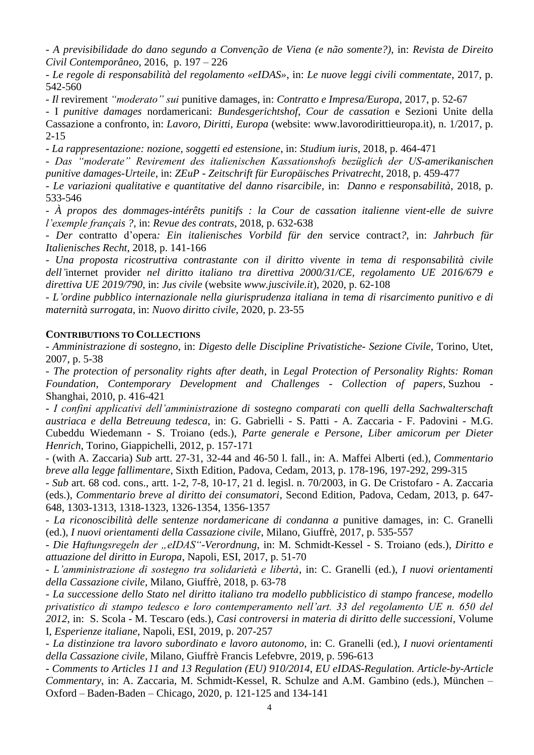- *A previsibilidade do dano segundo a Convenção de Viena (e não somente?)*, in: *Revista de Direito Civil Contemporâneo*, 2016, p. 197 – 226

- *Le regole di responsabilità del regolamento «eIDAS»*, in: *Le nuove leggi civili commentate*, 2017, p. 542-560

- *Il* revirement *"moderato" sui* punitive damages, in: *Contratto e Impresa/Europa*, 2017, p. 52-67

- I *punitive damages* nordamericani: *Bundesgerichtshof*, *Cour de cassation* e Sezioni Unite della Cassazione a confronto, in: *Lavoro, Diritti, Europa* (website: www.lavorodirittieuropa.it), n. 1/2017, p. 2-15

- *La rappresentazione: nozione, soggetti ed estensione*, in: *Studium iuris*, 2018, p. 464-471

- *Das "moderate" Revirement des italienischen Kassationshofs bezüglich der US-amerikanischen punitive damages-Urteile*, in: *ZEuP* - *Zeitschrift für Europäisches Privatrecht*, 2018, p. 459-477

- *Le variazioni qualitative e quantitative del danno risarcibile*, in: *Danno e responsabilità*, 2018, p. 533-546

- *À propos des dommages-intérêts punitifs : la Cour de cassation italienne vient-elle de suivre l'exemple français ?*, in: *Revue des contrats*, 2018, p. 632-638

- *Der* contratto d'opera*: Ein italienisches Vorbild für den* service contract*?*, in: *Jahrbuch für Italienisches Recht*, 2018, p. 141-166

- *Una proposta ricostruttiva contrastante con il diritto vivente in tema di responsabilità civile dell'*internet provider *nel diritto italiano tra direttiva 2000/31/CE, regolamento UE 2016/679 e direttiva UE 2019/790*, in: *Jus civile* (website *www.juscivile.it*), 2020, p. 62-108

- *L'ordine pubblico internazionale nella giurisprudenza italiana in tema di risarcimento punitivo e di maternità surrogata*, in: *Nuovo diritto civile*, 2020, p. 23-55

## **CONTRIBUTIONS TO COLLECTIONS**

- *Amministrazione di sostegno*, in: *Digesto delle Discipline Privatistiche*- *Sezione Civile*, Torino, Utet, 2007, p. 5-38

- *The protection of personality rights after death*, in *Legal Protection of Personality Rights: Roman Foundation, Contemporary Development and Challenges - Collection of papers*, Suzhou - Shanghai, 2010, p. 416-421

- *I confini applicativi dell'amministrazione di sostegno comparati con quelli della Sachwalterschaft austriaca e della Betreuung tedesca*, in: G. Gabrielli - S. Patti - A. Zaccaria - F. Padovini - M.G. Cubeddu Wiedemann - S. Troiano (eds.), *Parte generale e Persone*, *Liber amicorum per Dieter Henrich*, Torino, Giappichelli, 2012, p. 157-171

- (with A. Zaccaria) *Sub* artt. 27-31, 32-44 and 46-50 l. fall., in: A. Maffei Alberti (ed.), *Commentario breve alla legge fallimentare*, Sixth Edition, Padova, Cedam, 2013, p. 178-196, 197-292, 299-315

- *Sub* art. 68 cod. cons., artt. 1-2, 7-8, 10-17, 21 d. legisl. n. 70/2003, in G. De Cristofaro - A. Zaccaria (eds.), *Commentario breve al diritto dei consumatori*, Second Edition, Padova, Cedam, 2013, p. 647- 648, 1303-1313, 1318-1323, 1326-1354, 1356-1357

- *La riconoscibilità delle sentenze nordamericane di condanna a* punitive damages, in: C. Granelli (ed.), *I nuovi orientamenti della Cassazione civile*, Milano, Giuffrè, 2017, p. 535-557

- *Die Haftungsregeln der "eIDAS"-Verordnung*, in: M. Schmidt-Kessel - S. Troiano (eds.), *Diritto e attuazione del diritto in Europa*, Napoli, ESI, 2017, p. 51-70

- *L'amministrazione di sostegno tra solidarietà e libertà*, in: C. Granelli (ed.), *I nuovi orientamenti della Cassazione civile*, Milano, Giuffrè, 2018, p. 63-78

- *La successione dello Stato nel diritto italiano tra modello pubblicistico di stampo francese, modello privatistico di stampo tedesco e loro contemperamento nell'art. 33 del regolamento UE n. 650 del 2012*, in: S. Scola - M. Tescaro (eds.), *Casi controversi in materia di diritto delle successioni*, Volume I, *Esperienze italiane*, Napoli, ESI, 2019, p. 207-257

- *La distinzione tra lavoro subordinato e lavoro autonomo*, in: C. Granelli (ed.), *I nuovi orientamenti della Cassazione civile*, Milano, Giuffrè Francis Lefebvre, 2019, p. 596-613

- *Comments to Articles 11 and 13 Regulation (EU) 910/2014*, *EU eIDAS-Regulation. Article-by-Article Commentary*, in: A. Zaccaria, M. Schmidt-Kessel, R. Schulze and A.M. Gambino (eds.), München – Oxford – Baden-Baden – Chicago, 2020, p. 121-125 and 134-141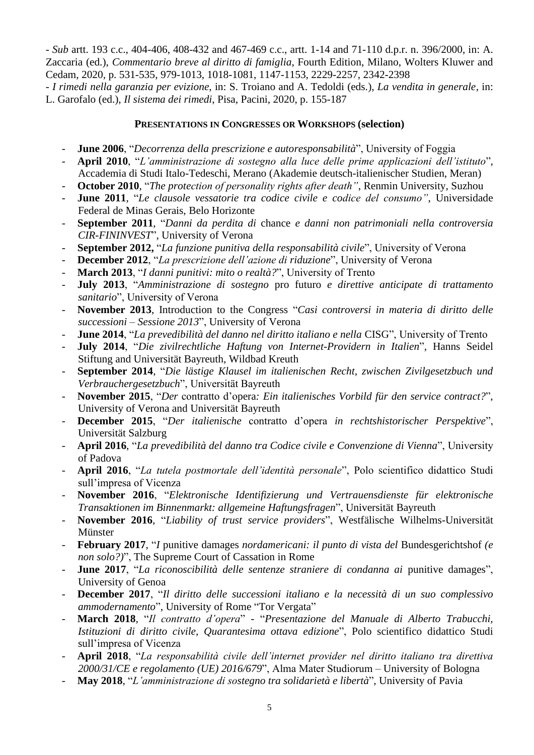- *Sub* artt. 193 c.c., 404-406, 408-432 and 467-469 c.c., artt. 1-14 and 71-110 d.p.r. n. 396/2000, in: A. Zaccaria (ed.), *Commentario breve al diritto di famiglia*, Fourth Edition, Milano, Wolters Kluwer and Cedam, 2020, p. 531-535, 979-1013, 1018-1081, 1147-1153, 2229-2257, 2342-2398

- *I rimedi nella garanzia per evizione*, in: S. Troiano and A. Tedoldi (eds.), *La vendita in generale*, in: L. Garofalo (ed.), *Il sistema dei rimedi*, Pisa, Pacini, 2020, p. 155-187

# **PRESENTATIONS IN CONGRESSES OR WORKSHOPS (selection)**

- **June 2006**, "*Decorrenza della prescrizione e autoresponsabilità*", University of Foggia
- **April 2010**, "*L'amministrazione di sostegno alla luce delle prime applicazioni dell'istituto*", Accademia di Studi Italo-Tedeschi, Merano (Akademie deutsch-italienischer Studien, Meran)
- **October 2010**, "*The protection of personality rights after death"*, Renmin University, Suzhou
- **June 2011**, "*Le clausole vessatorie tra codice civile e codice del consumo"*, Universidade Federal de Minas Gerais, Belo Horizonte
- **September 2011**, "*Danni da perdita di* chance *e danni non patrimoniali nella controversia CIR-FININVEST*", University of Verona
- **September 2012,** "*La funzione punitiva della responsabilità civile*", University of Verona
- **December 2012**, "*La prescrizione dell'azione di riduzione*", University of Verona
- **March 2013**, "*I danni punitivi: mito o realtà?*", University of Trento
- **July 2013**, "*Amministrazione di sostegno* pro futuro *e direttive anticipate di trattamento sanitario*", University of Verona
- **November 2013**, Introduction to the Congress "*Casi controversi in materia di diritto delle successioni – Sessione 2013*", University of Verona
- **June 2014**, "*La prevedibilità del danno nel diritto italiano e nella* CISG", University of Trento
- **July 2014**, "*Die zivilrechtliche Haftung von Internet-Providern in Italien*", Hanns Seidel Stiftung and Universität Bayreuth, Wildbad Kreuth
- **September 2014**, "*Die lästige Klausel im italienischen Recht, zwischen Zivilgesetzbuch und Verbrauchergesetzbuch*", Universität Bayreuth
- **November 2015**, "*Der* contratto d'opera*: Ein italienisches Vorbild für den service contract?*", University of Verona and Universität Bayreuth
- **December 2015**, "*Der italienische* contratto d'opera *in rechtshistorischer Perspektive*", Universität Salzburg
- **April 2016**, "*La prevedibilità del danno tra Codice civile e Convenzione di Vienna*", University of Padova
- **April 2016**, "*La tutela postmortale dell'identità personale*", Polo scientifico didattico Studi sull'impresa of Vicenza
- **November 2016**, "*Elektronische Identifizierung und Vertrauensdienste für elektronische Transaktionen im Binnenmarkt: allgemeine Haftungsfragen*", Universität Bayreuth
- **November 2016**, "*Liability of trust service providers*", Westfälische Wilhelms-Universität Münster
- **February 2017**, "*I* punitive damages *nordamericani: il punto di vista del* Bundesgerichtshof *(e non solo?)*", The Supreme Court of Cassation in Rome
- **June 2017**, "*La riconoscibilità delle sentenze straniere di condanna ai* punitive damages", University of Genoa
- **December 2017**, "*Il diritto delle successioni italiano e la necessità di un suo complessivo ammodernamento*", University of Rome "Tor Vergata"
- **March 2018**, "*Il contratto d'opera*" "*Presentazione del Manuale di Alberto Trabucchi, Istituzioni di diritto civile, Quarantesima ottava edizione*", Polo scientifico didattico Studi sull'impresa of Vicenza
- **April 2018**, "*La responsabilità civile dell'internet provider nel diritto italiano tra direttiva 2000/31/CE e regolamento (UE) 2016/679*", Alma Mater Studiorum – University of Bologna
- **May 2018**, "*L'amministrazione di sostegno tra solidarietà e libertà*", University of Pavia